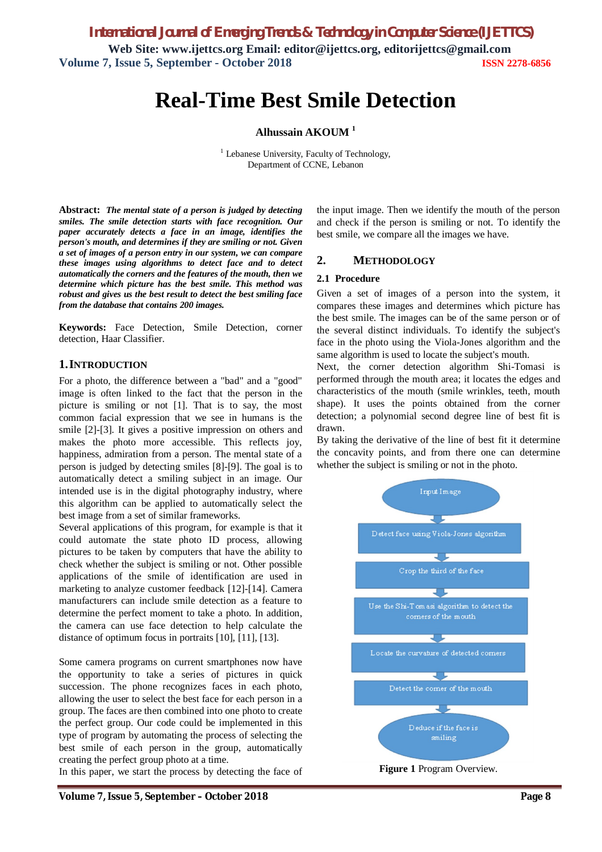# **Real-Time Best Smile Detection**

**Alhussain AKOUM <sup>1</sup>**

 $<sup>1</sup>$  Lebanese University, Faculty of Technology,</sup> Department of CCNE, Lebanon

**Abstract:** *The mental state of a person is judged by detecting smiles. The smile detection starts with face recognition. Our paper accurately detects a face in an image, identifies the person's mouth, and determines if they are smiling or not. Given a set of images of a person entry in our system, we can compare these images using algorithms to detect face and to detect automatically the corners and the features of the mouth, then we determine which picture has the best smile. This method was robust and gives us the best result to detect the best smiling face from the database that contains 200 images.*

**Keywords:** Face Detection, Smile Detection, corner detection, Haar Classifier.

#### **1.INTRODUCTION**

For a photo, the difference between a "bad" and a "good" image is often linked to the fact that the person in the picture is smiling or not [1]. That is to say, the most common facial expression that we see in humans is the smile [2]-[3]. It gives a positive impression on others and makes the photo more accessible. This reflects joy, happiness, admiration from a person. The mental state of a person is judged by detecting smiles [8]-[9]. The goal is to automatically detect a smiling subject in an image. Our intended use is in the digital photography industry, where this algorithm can be applied to automatically select the best image from a set of similar frameworks.

Several applications of this program, for example is that it could automate the state photo ID process, allowing pictures to be taken by computers that have the ability to check whether the subject is smiling or not. Other possible applications of the smile of identification are used in marketing to analyze customer feedback [12]-[14]. Camera manufacturers can include smile detection as a feature to determine the perfect moment to take a photo. In addition, the camera can use face detection to help calculate the distance of optimum focus in portraits [10], [11], [13].

Some camera programs on current smartphones now have the opportunity to take a series of pictures in quick succession. The phone recognizes faces in each photo, allowing the user to select the best face for each person in a group. The faces are then combined into one photo to create the perfect group. Our code could be implemented in this type of program by automating the process of selecting the best smile of each person in the group, automatically creating the perfect group photo at a time.

In this paper, we start the process by detecting the face of

the input image. Then we identify the mouth of the person and check if the person is smiling or not. To identify the best smile, we compare all the images we have.

#### **2. METHODOLOGY**

#### **2.1 Procedure**

Given a set of images of a person into the system, it compares these images and determines which picture has the best smile. The images can be of the same person or of the several distinct individuals. To identify the subject's face in the photo using the Viola-Jones algorithm and the same algorithm is used to locate the subject's mouth.

Next, the corner detection algorithm Shi-Tomasi is performed through the mouth area; it locates the edges and characteristics of the mouth (smile wrinkles, teeth, mouth shape). It uses the points obtained from the corner detection; a polynomial second degree line of best fit is drawn.

By taking the derivative of the line of best fit it determine the concavity points, and from there one can determine whether the subject is smiling or not in the photo.

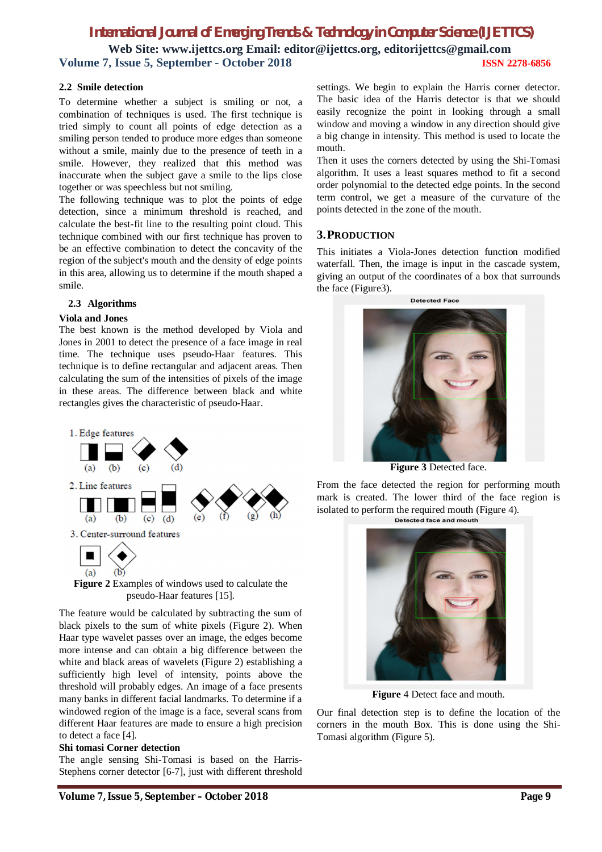#### **2.2 Smile detection**

To determine whether a subject is smiling or not, a combination of techniques is used. The first technique is tried simply to count all points of edge detection as a smiling person tended to produce more edges than someone without a smile, mainly due to the presence of teeth in a smile. However, they realized that this method was inaccurate when the subject gave a smile to the lips close together or was speechless but not smiling.

The following technique was to plot the points of edge detection, since a minimum threshold is reached, and calculate the best-fit line to the resulting point cloud. This technique combined with our first technique has proven to be an effective combination to detect the concavity of the region of the subject's mouth and the density of edge points in this area, allowing us to determine if the mouth shaped a smile.

#### **2.3 Algorithms**

#### **Viola and Jones**

The best known is the method developed by Viola and Jones in 2001 to detect the presence of a face image in real time. The technique uses pseudo-Haar features. This technique is to define rectangular and adjacent areas. Then calculating the sum of the intensities of pixels of the image in these areas. The difference between black and white rectangles gives the characteristic of pseudo-Haar.



**Figure 2** Examples of windows used to calculate the pseudo-Haar features [15].

The feature would be calculated by subtracting the sum of black pixels to the sum of white pixels (Figure 2). When Haar type wavelet passes over an image, the edges become more intense and can obtain a big difference between the white and black areas of wavelets (Figure 2) establishing a sufficiently high level of intensity, points above the threshold will probably edges. An image of a face presents many banks in different facial landmarks. To determine if a windowed region of the image is a face, several scans from different Haar features are made to ensure a high precision to detect a face [4].

#### **Shi tomasi Corner detection**

The angle sensing Shi-Tomasi is based on the Harris-Stephens corner detector [6-7], just with different threshold

settings. We begin to explain the Harris corner detector. The basic idea of the Harris detector is that we should easily recognize the point in looking through a small window and moving a window in any direction should give a big change in intensity. This method is used to locate the mouth.

Then it uses the corners detected by using the Shi-Tomasi algorithm. It uses a least squares method to fit a second order polynomial to the detected edge points. In the second term control, we get a measure of the curvature of the points detected in the zone of the mouth.

#### **3.PRODUCTION**

This initiates a Viola-Jones detection function modified waterfall. Then, the image is input in the cascade system, giving an output of the coordinates of a box that surrounds the face (Figure3).



**Figure 3** Detected face.

From the face detected the region for performing mouth mark is created. The lower third of the face region is isolated to perform the required mouth (Figure 4).<br>Detected face and mouth



**Figure** 4 Detect face and mouth.

Our final detection step is to define the location of the corners in the mouth Box. This is done using the Shi-Tomasi algorithm (Figure 5).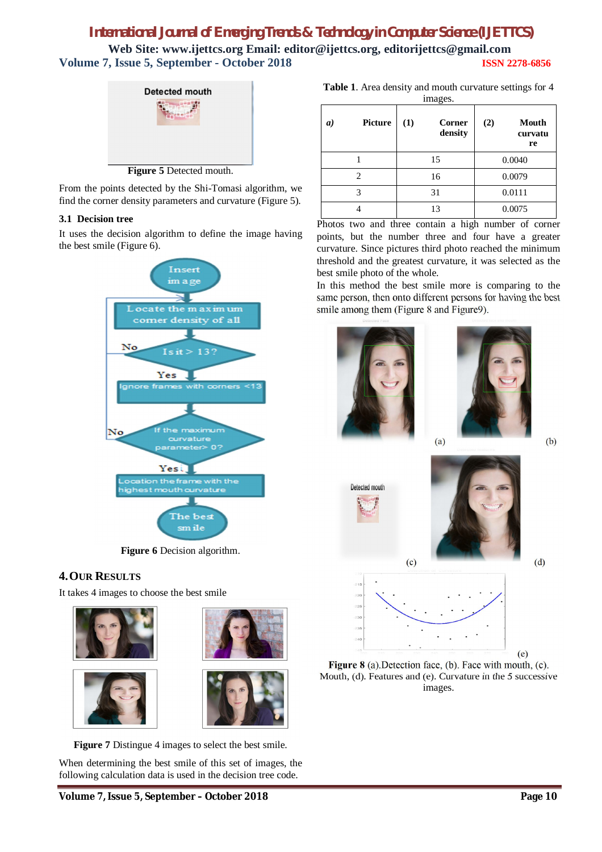

From the points detected by the Shi-Tomasi algorithm, we find the corner density parameters and curvature (Figure 5).

### **3.1 Decision tree**

It uses the decision algorithm to define the image having the best smile (Figure 6).



**Figure 6** Decision algorithm.

### **4.OUR RESULTS**

It takes 4 images to choose the best smile









**Figure 7** Distingue 4 images to select the best smile.

When determining the best smile of this set of images, the following calculation data is used in the decision tree code.

**Volume 7, Issue 5, September – October 2018 Page 10**

**Table 1**. Area density and mouth curvature settings for 4

| <b>Picture</b><br>a) | images.<br>(1)<br><b>Corner</b><br>density | (2)<br><b>Mouth</b><br>curvatu<br>re |
|----------------------|--------------------------------------------|--------------------------------------|
|                      | 15                                         | 0.0040                               |
| 2                    | 16                                         | 0.0079                               |
| 3                    | 31                                         | 0.0111                               |
|                      | 13                                         | 0.0075                               |

Photos two and three contain a high number of corner points, but the number three and four have a greater curvature. Since pictures third photo reached the minimum threshold and the greatest curvature, it was selected as the best smile photo of the whole.

In this method the best smile more is comparing to the same person, then onto different persons for having the best smile among them (Figure 8 and Figure9).





(a)  $(b)$ 



**Figure 8** (a).Detection face, (b). Face with mouth, (c). Mouth, (d). Features and (e). Curvature in the 5 successive images.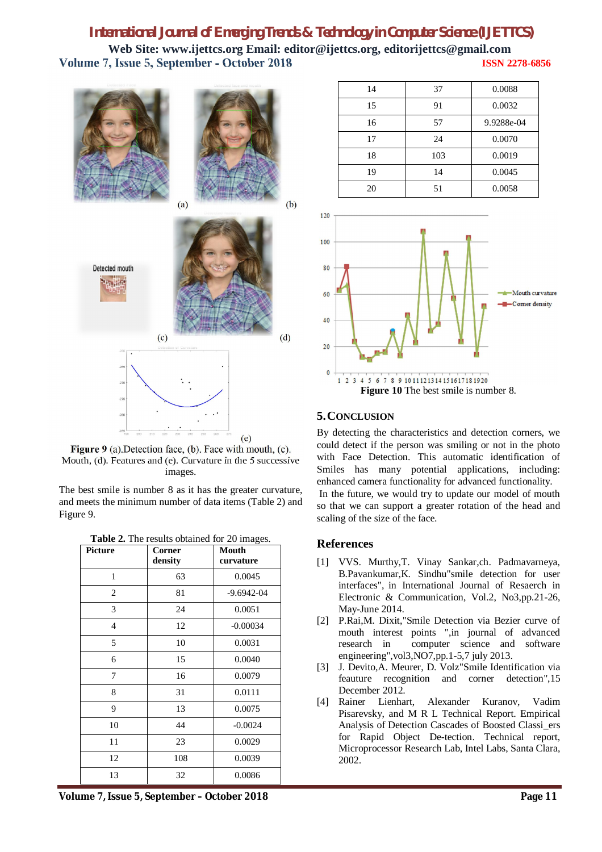120



**Figure 9** (a).Detection face, (b). Face with mouth, (c). Mouth, (d). Features and (e). Curvature in the 5 successive images.

The best smile is number 8 as it has the greater curvature, and meets the minimum number of data items (Table 2) and Figure 9.

| Picture        | Corner<br>density | <b>Mouth</b><br>curvature |
|----------------|-------------------|---------------------------|
| $\mathbf{1}$   | 63                | 0.0045                    |
| 2              | 81                | $-9.6942 - 04$            |
| 3              | 24                | 0.0051                    |
| $\overline{4}$ | 12                | $-0.00034$                |
| 5              | 10                | 0.0031                    |
| 6              | 15                | 0.0040                    |
| 7              | 16                | 0.0079                    |
| 8              | 31                | 0.0111                    |
| 9              | 13                | 0.0075                    |
| 10             | 44                | $-0.0024$                 |
| 11             | 23                | 0.0029                    |
| 12             | 108               | 0.0039                    |
| 13             | 32                | 0.0086                    |

| Table 2. The results obtained for 20 images. |  |  |  |
|----------------------------------------------|--|--|--|
|----------------------------------------------|--|--|--|







## **5.CONCLUSION**

By detecting the characteristics and detection corners, we could detect if the person was smiling or not in the photo with Face Detection. This automatic identification of Smiles has many potential applications, including: enhanced camera functionality for advanced functionality. In the future, we would try to update our model of mouth so that we can support a greater rotation of the head and scaling of the size of the face.

### **References**

- [1] VVS. Murthy,T. Vinay Sankar,ch. Padmavarneya, B.Pavankumar,K. Sindhu"smile detection for user interfaces", in International Journal of Resaerch in Electronic & Communication, Vol.2, No3,pp.21-26, May-June 2014.
- [2] P.Rai,M. Dixit,"Smile Detection via Bezier curve of mouth interest points ",in journal of advanced research in computer science and software engineering",vol3,NO7,pp.1-5,7 july 2013.
- [3] J. Devito,A. Meurer, D. Volz"Smile Identification via feauture recognition and corner detection",15 December 2012.
- [4] Rainer Lienhart, Alexander Kuranov, Vadim Pisarevsky, and M R L Technical Report. Empirical Analysis of Detection Cascades of Boosted Classi\_ers for Rapid Object De-tection. Technical report, Microprocessor Research Lab, Intel Labs, Santa Clara, 2002.